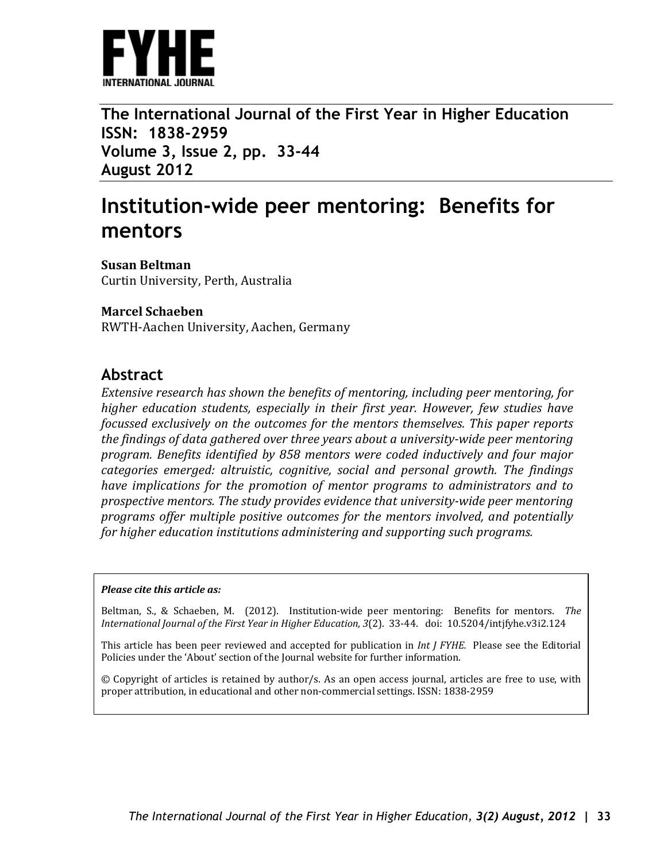

**The International Journal of the First Year in Higher Education ISSN: 1838-2959 Volume 3, Issue 2, pp. 33-44 August 2012**

# **Institution-wide peer mentoring: Benefits for mentors**

**Susan Beltman** Curtin University, Perth, Australia

### **Marcel Schaeben**

RWTH-Aachen University, Aachen, Germany

### **Abstract**

*Extensive research has shown the benefits of mentoring, including peer mentoring, for higher education students, especially in their first year. However, few studies have focussed exclusively on the outcomes for the mentors themselves. This paper reports the findings of data gathered over three years about a university-wide peer mentoring program. Benefits identified by 858 mentors were coded inductively and four major categories emerged: altruistic, cognitive, social and personal growth. The findings have implications for the promotion of mentor programs to administrators and to prospective mentors. The study provides evidence that university-wide peer mentoring programs offer multiple positive outcomes for the mentors involved, and potentially for higher education institutions administering and supporting such programs.* 

### *Please cite this article as:*

Beltman, S., & Schaeben, M. (2012). Institution-wide peer mentoring: Benefits for mentors. *The International Journal of the First Year in Higher Education, 3*(2). 33-44. doi: 10.5204/intjfyhe.v3i2.124

This article has been peer reviewed and accepted for publication in *Int J FYHE.* Please see the Editorial Policies under the 'About' section of the Journal website for further information.

© Copyright of articles is retained by author/s. As an open access journal, articles are free to use, with proper attribution, in educational and other non-commercial settings. ISSN: 1838-2959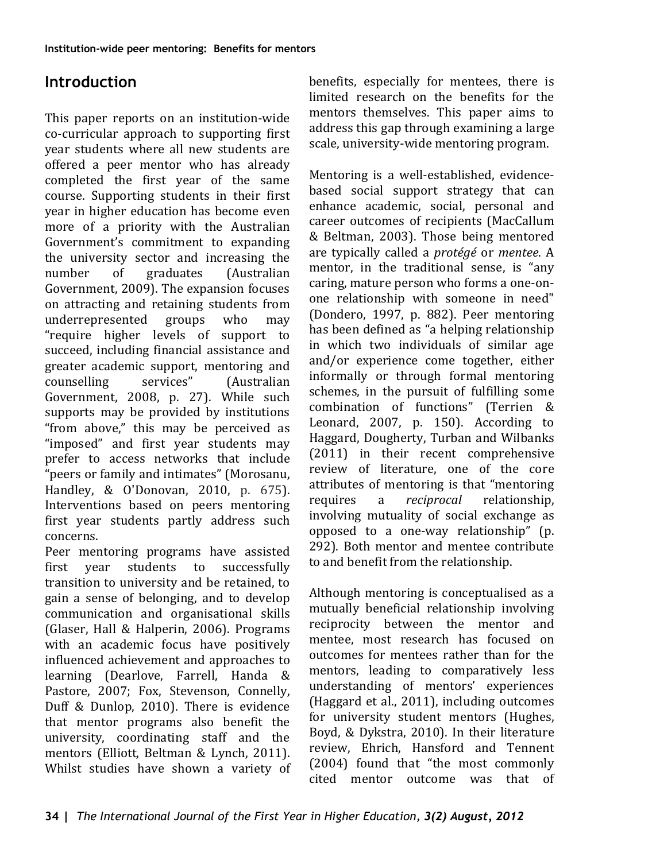## **Introduction**

This paper reports on an institution-wide co-curricular approach to supporting first year students where all new students are offered a peer mentor who has already completed the first year of the same course. Supporting students in their first year in higher education has become even more of a priority with the Australian Government's commitment to expanding the university sector and increasing the<br>number of graduates (Australian graduates Government, 2009). The expansion focuses on attracting and retaining students from<br>underrepresented groups who may underrepresented "require higher levels of support to succeed, including financial assistance and greater academic support, mentoring and<br>counselling services" (Australian counselling services" (Australian Government, 2008, p. 27). While such supports may be provided by institutions "from above," this may be perceived as "imposed" and first year students may prefer to access networks that include "peers or family and intimates" (Morosanu, Handley, & O'Donovan, 2010, p. 675). Interventions based on peers mentoring first year students partly address such concerns.

Peer mentoring programs have assisted<br>first vear students to successfully students to successfully transition to university and be retained, to gain a sense of belonging, and to develop communication and organisational skills (Glaser, Hall & Halperin, 2006). Programs with an academic focus have positively influenced achievement and approaches to learning (Dearlove, Farrell, Handa & Pastore, 2007; Fox, Stevenson, Connelly, Duff & Dunlop, 2010). There is evidence that mentor programs also benefit the university, coordinating staff and the mentors (Elliott, Beltman & Lynch, 2011). Whilst studies have shown a variety of benefits, especially for mentees, there is limited research on the benefits for the mentors themselves. This paper aims to address this gap through examining a large scale, university-wide mentoring program.

Mentoring is a well-established, evidencebased social support strategy that can enhance academic, social, personal and career outcomes of recipients (MacCallum & Beltman, 2003). Those being mentored are typically called a *protégé* or *mentee*. A mentor, in the traditional sense, is "any caring, mature person who forms a one-onone relationship with someone in need" (Dondero, 1997, p. 882). Peer mentoring has been defined as "a helping relationship in which two individuals of similar age and/or experience come together, either informally or through formal mentoring schemes, in the pursuit of fulfilling some combination of functions" (Terrien & Leonard, 2007, p. 150). According to Haggard, Dougherty, Turban and Wilbanks (2011) in their recent comprehensive review of literature, one of the core attributes of mentoring is that "mentoring<br>requires a *reciprocal* relationship. relationship. involving mutuality of social exchange as opposed to a one-way relationship" (p. 292). Both mentor and mentee contribute to and benefit from the relationship.

Although mentoring is conceptualised as a mutually beneficial relationship involving reciprocity between the mentor and mentee, most research has focused on outcomes for mentees rather than for the mentors, leading to comparatively less understanding of mentors' experiences (Haggard et al., 2011), including outcomes for university student mentors (Hughes, Boyd, & Dykstra, 2010). In their literature review, Ehrich, Hansford and Tennent (2004) found that "the most commonly cited mentor outcome was that of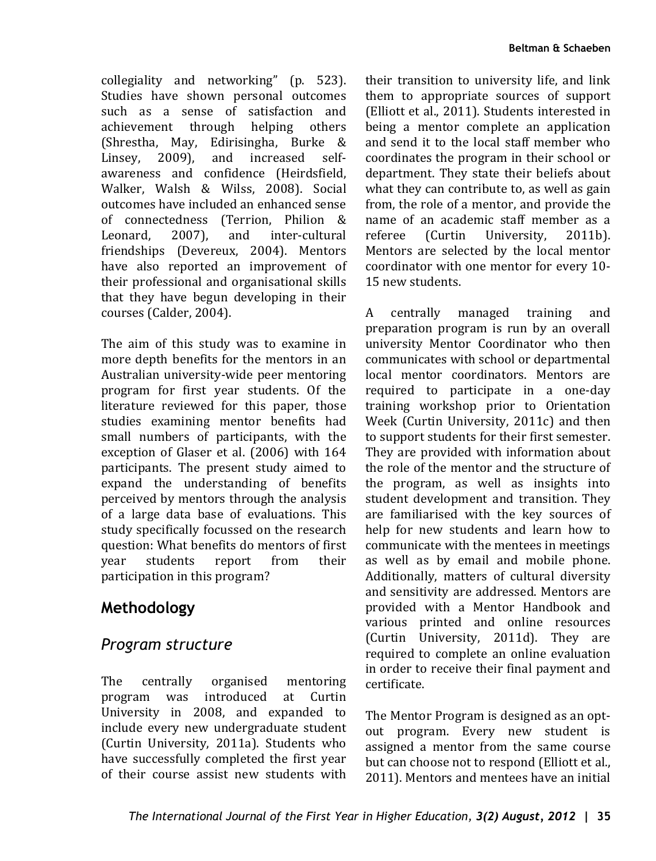collegiality and networking" (p. 523). Studies have shown personal outcomes such as a sense of satisfaction and<br>achievement through helping others achievement through (Shrestha, May, Edirisingha, Burke &<br>Linsev. 2009). and increased self-Linsey,  $2009$ , and awareness and confidence (Heirdsfield, Walker, Walsh & Wilss, 2008). Social outcomes have included an enhanced sense of connectedness (Terrion, Philion &<br>Leonard. 2007). and inter-cultural inter-cultural friendships (Devereux, 2004). Mentors have also reported an improvement of their professional and organisational skills that they have begun developing in their courses (Calder, 2004).

The aim of this study was to examine in more depth benefits for the mentors in an Australian university-wide peer mentoring program for first year students. Of the literature reviewed for this paper, those studies examining mentor benefits had small numbers of participants, with the exception of Glaser et al. (2006) with 164 participants. The present study aimed to expand the understanding of benefits perceived by mentors through the analysis of a large data base of evaluations. This study specifically focussed on the research question: What benefits do mentors of first<br>vear students report from their students participation in this program?

## **Methodology**

### *Program structure*

The centrally organised mentoring<br>program was introduced at Curtin program was introduced at Curtin University in 2008, and expanded to include every new undergraduate student (Curtin University, 2011a). Students who have successfully completed the first year of their course assist new students with

their transition to university life, and link them to appropriate sources of support (Elliott et al., 2011). Students interested in being a mentor complete an application and send it to the local staff member who coordinates the program in their school or department. They state their beliefs about what they can contribute to, as well as gain from, the role of a mentor, and provide the name of an academic staff member as a<br>referee (Curtin University, 2011b). referee (Curtin University, 2011b). Mentors are selected by the local mentor coordinator with one mentor for every 10- 15 new students.

A centrally managed training and preparation program is run by an overall university Mentor Coordinator who then communicates with school or departmental local mentor coordinators. Mentors are required to participate in a one-day training workshop prior to Orientation Week (Curtin University, 2011c) and then to support students for their first semester. They are provided with information about the role of the mentor and the structure of the program, as well as insights into student development and transition. They are familiarised with the key sources of help for new students and learn how to communicate with the mentees in meetings as well as by email and mobile phone. Additionally, matters of cultural diversity and sensitivity are addressed. Mentors are provided with a Mentor Handbook and various printed and online resources (Curtin University, 2011d). They are required to complete an online evaluation in order to receive their final payment and certificate.

The Mentor Program is designed as an optout program. Every new student is assigned a mentor from the same course but can choose not to respond (Elliott et al., 2011). Mentors and mentees have an initial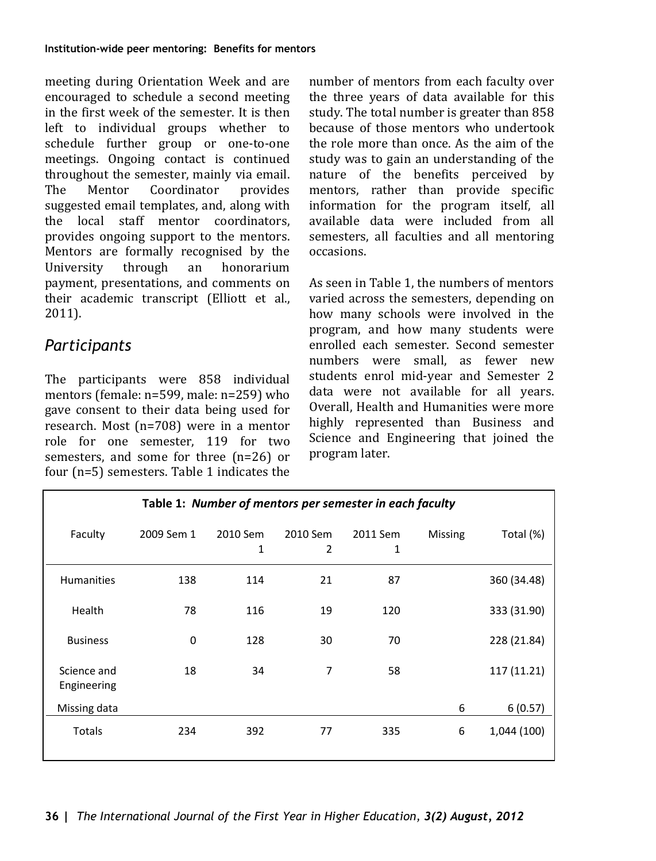meeting during Orientation Week and are encouraged to schedule a second meeting in the first week of the semester. It is then left to individual groups whether to schedule further group or one-to-one meetings. Ongoing contact is continued throughout the semester, mainly via email.<br>The Mentor Coordinator provides Coordinator suggested email templates, and, along with the local staff mentor coordinators, provides ongoing support to the mentors. Mentors are formally recognised by the<br>University through an honorarium University through an honorarium payment, presentations, and comments on their academic transcript (Elliott et al., 2011).

### *Participants*

The participants were 858 individual mentors (female: n=599, male: n=259) who gave consent to their data being used for research. Most (n=708) were in a mentor role for one semester, 119 for two semesters, and some for three (n=26) or four (n=5) semesters. Table 1 indicates the

number of mentors from each faculty over the three years of data available for this study. The total number is greater than 858 because of those mentors who undertook the role more than once. As the aim of the study was to gain an understanding of the nature of the benefits perceived by mentors, rather than provide specific information for the program itself, all available data were included from all semesters, all faculties and all mentoring occasions.

As seen in Table 1, the numbers of mentors varied across the semesters, depending on how many schools were involved in the program, and how many students were enrolled each semester. Second semester numbers were small, as fewer new students enrol mid-year and Semester 2 data were not available for all years. Overall, Health and Humanities were more highly represented than Business and Science and Engineering that joined the program later.

| Table 1: Number of mentors per semester in each faculty |             |               |               |               |                |             |  |
|---------------------------------------------------------|-------------|---------------|---------------|---------------|----------------|-------------|--|
| Faculty                                                 | 2009 Sem 1  | 2010 Sem<br>1 | 2010 Sem<br>2 | 2011 Sem<br>1 | <b>Missing</b> | Total (%)   |  |
| <b>Humanities</b>                                       | 138         | 114           | 21            | 87            |                | 360 (34.48) |  |
| Health                                                  | 78          | 116           | 19            | 120           |                | 333 (31.90) |  |
| <b>Business</b>                                         | $\mathbf 0$ | 128           | 30            | 70            |                | 228 (21.84) |  |
| Science and<br>Engineering                              | 18          | 34            | 7             | 58            |                | 117 (11.21) |  |
| Missing data                                            |             |               |               |               | 6              | 6(0.57)     |  |
| Totals                                                  | 234         | 392           | 77            | 335           | 6              | 1,044 (100) |  |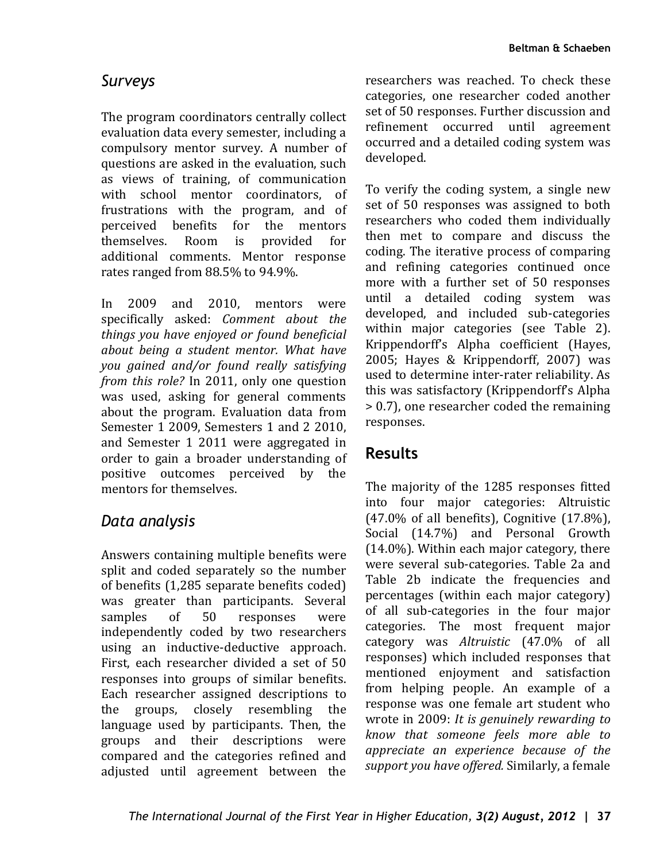### *Surveys*

The program coordinators centrally collect evaluation data every semester, including a compulsory mentor survey. A number of questions are asked in the evaluation, such as views of training, of communication with school mentor coordinators, of frustrations with the program, and of perceived benefits for the mentors<br>themselves Room is provided for themselves additional comments. Mentor response rates ranged from 88.5% to 94.9%.

In 2009 and 2010, mentors were specifically asked: *Comment about the things you have enjoyed or found beneficial about being a student mentor. What have you gained and/or found really satisfying from this role?* In 2011, only one question was used, asking for general comments about the program. Evaluation data from Semester 1 2009, Semesters 1 and 2 2010. and Semester 1 2011 were aggregated in order to gain a broader understanding of positive outcomes perceived by the mentors for themselves.

### *Data analysis*

Answers containing multiple benefits were split and coded separately so the number of benefits (1,285 separate benefits coded) was greater than participants. Several<br>samples of 50 responses were samples of 50 responses were independently coded by two researchers using an inductive-deductive approach. First, each researcher divided a set of 50 responses into groups of similar benefits. Each researcher assigned descriptions to the groups, closely resembling the language used by participants. Then, the groups and their descriptions were compared and the categories refined and adjusted until agreement between the

researchers was reached. To check these categories, one researcher coded another set of 50 responses. Further discussion and refinement occurred until agreement occurred and a detailed coding system was developed.

To verify the coding system, a single new set of 50 responses was assigned to both researchers who coded them individually then met to compare and discuss the coding. The iterative process of comparing and refining categories continued once more with a further set of 50 responses until a detailed coding system was developed, and included sub-categories within major categories (see Table 2). Krippendorff's Alpha coefficient (Hayes, 2005; Hayes & Krippendorff, 2007) was used to determine inter-rater reliability. As this was satisfactory (Krippendorff's Alpha > 0.7), one researcher coded the remaining responses.

## **Results**

The majority of the 1285 responses fitted into four major categories: Altruistic (47.0% of all benefits), Cognitive (17.8%), Social (14.7%) and Personal Growth (14.0%). Within each major category, there were several sub-categories. Table 2a and Table 2b indicate the frequencies and percentages (within each major category) of all sub-categories in the four major categories. The most frequent major category was *Altruistic* (47.0% of all responses) which included responses that mentioned enjoyment and satisfaction from helping people. An example of a response was one female art student who wrote in 2009: *It is genuinely rewarding to know that someone feels more able to appreciate an experience because of the support you have offered.* Similarly, a female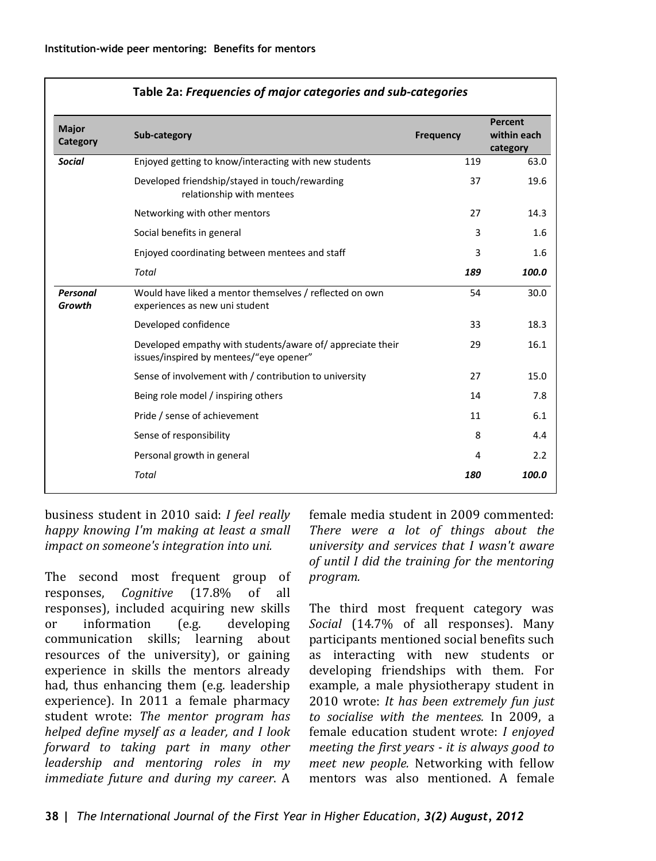| Major<br>Category  | Sub-category                                                                                         | <b>Frequency</b> | Percent<br>within each<br>category |
|--------------------|------------------------------------------------------------------------------------------------------|------------------|------------------------------------|
| <b>Social</b>      | Enjoyed getting to know/interacting with new students                                                | 119              | 63.0                               |
|                    | Developed friendship/stayed in touch/rewarding<br>relationship with mentees                          | 37               | 19.6                               |
|                    | Networking with other mentors                                                                        | 27               | 14.3                               |
|                    | Social benefits in general                                                                           | 3                | 1.6                                |
|                    | Enjoyed coordinating between mentees and staff                                                       | 3                | 1.6                                |
|                    | <b>Total</b>                                                                                         | 189              | 100.0                              |
| Personal<br>Growth | Would have liked a mentor themselves / reflected on own<br>experiences as new uni student            | 54               | 30.0                               |
|                    | Developed confidence                                                                                 | 33               | 18.3                               |
|                    | Developed empathy with students/aware of/appreciate their<br>issues/inspired by mentees/"eye opener" | 29               | 16.1                               |
|                    | Sense of involvement with / contribution to university                                               | 27               | 15.0                               |
|                    | Being role model / inspiring others                                                                  | 14               | 7.8                                |
|                    | Pride / sense of achievement                                                                         | 11               | 6.1                                |
|                    | Sense of responsibility                                                                              | 8                | 4.4                                |
|                    | Personal growth in general                                                                           | 4                | 2.2                                |
|                    | <b>Total</b>                                                                                         | 180              | 100.0                              |

### **Table 2a:** *Frequencies of major categories and sub-categories*

business student in 2010 said: *I feel really happy knowing I'm making at least a small impact on someone's integration into uni.*

The second most frequent group of<br>responses. *Coanitive* (17.8% of all responses, *Cognitive* (17.8%) responses), included acquiring new skills<br>or information (e.g. developing information communication skills; learning about resources of the university), or gaining experience in skills the mentors already had, thus enhancing them (e.g. leadership experience). In 2011 a female pharmacy student wrote: *The mentor program has helped define myself as a leader, and I look forward to taking part in many other leadership and mentoring roles in my immediate future and during my career*. A

female media student in 2009 commented: *There were a lot of things about the university and services that I wasn't aware of until I did the training for the mentoring program.*

The third most frequent category was *Social* (14.7% of all responses). Many participants mentioned social benefits such as interacting with new students or developing friendships with them. For example, a male physiotherapy student in 2010 wrote: *It has been extremely fun just to socialise with the mentees.* In 2009, a female education student wrote: *I enjoyed meeting the first years - it is always good to meet new people.* Networking with fellow mentors was also mentioned. A female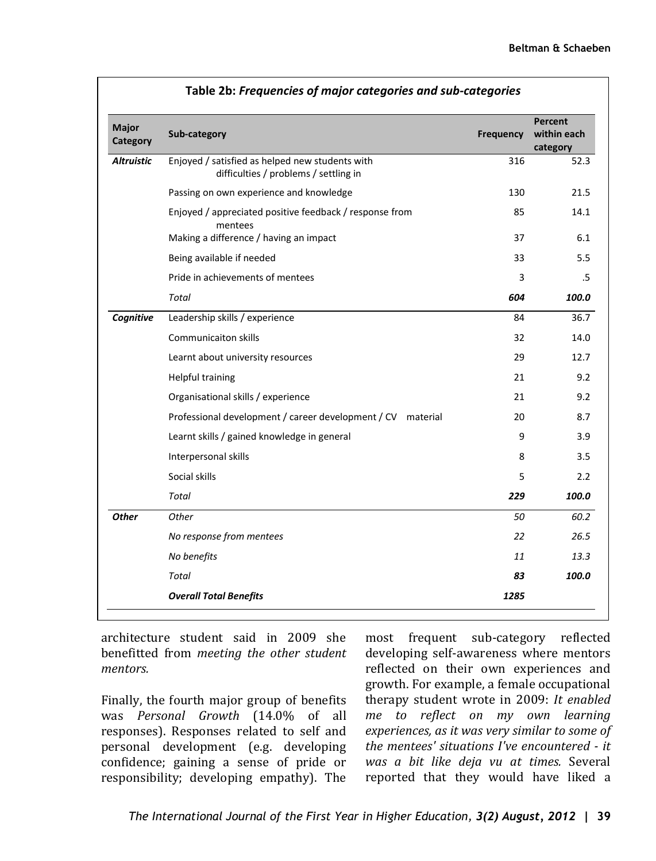| Major<br>Category | Sub-category                                                                             | Frequency | Percent<br>within each<br>category |
|-------------------|------------------------------------------------------------------------------------------|-----------|------------------------------------|
| <b>Altruistic</b> | Enjoyed / satisfied as helped new students with<br>difficulties / problems / settling in | 316       | 52.3                               |
|                   | Passing on own experience and knowledge                                                  | 130       | 21.5                               |
|                   | Enjoyed / appreciated positive feedback / response from<br>mentees                       | 85        | 14.1                               |
|                   | Making a difference / having an impact                                                   | 37        | 6.1                                |
|                   | Being available if needed                                                                | 33        | 5.5                                |
|                   | Pride in achievements of mentees                                                         | 3         | .5                                 |
|                   | Total                                                                                    | 604       | 100.0                              |
| Cognitive         | Leadership skills / experience                                                           | 84        | 36.7                               |
|                   | <b>Communicaiton skills</b>                                                              | 32        | 14.0                               |
|                   | Learnt about university resources                                                        | 29        | 12.7                               |
|                   | <b>Helpful training</b>                                                                  | 21        | 9.2                                |
|                   | Organisational skills / experience                                                       | 21        | 9.2                                |
|                   | Professional development / career development / CV material                              | 20        | 8.7                                |
|                   | Learnt skills / gained knowledge in general                                              | 9         | 3.9                                |
|                   | Interpersonal skills                                                                     | 8         | 3.5                                |
|                   | Social skills                                                                            | 5         | 2.2                                |
|                   | Total                                                                                    | 229       | 100.0                              |
| <b>Other</b>      | Other                                                                                    | 50        | 60.2                               |
|                   | No response from mentees                                                                 | 22        | 26.5                               |
|                   | No benefits                                                                              | 11        | 13.3                               |
|                   | Total                                                                                    | 83        | 100.0                              |
|                   | <b>Overall Total Benefits</b>                                                            | 1285      |                                    |

architecture student said in 2009 she benefitted from *meeting the other student mentors.*

Finally, the fourth major group of benefits was *Personal Growth* (14.0% of all responses). Responses related to self and personal development (e.g. developing confidence; gaining a sense of pride or responsibility; developing empathy). The

most frequent sub-category reflected developing self-awareness where mentors reflected on their own experiences and growth. For example, a female occupational therapy student wrote in 2009: *It enabled me to reflect on my own learning experiences, as it was very similar to some of the mentees' situations I've encountered - it was a bit like deja vu at times.* Several reported that they would have liked a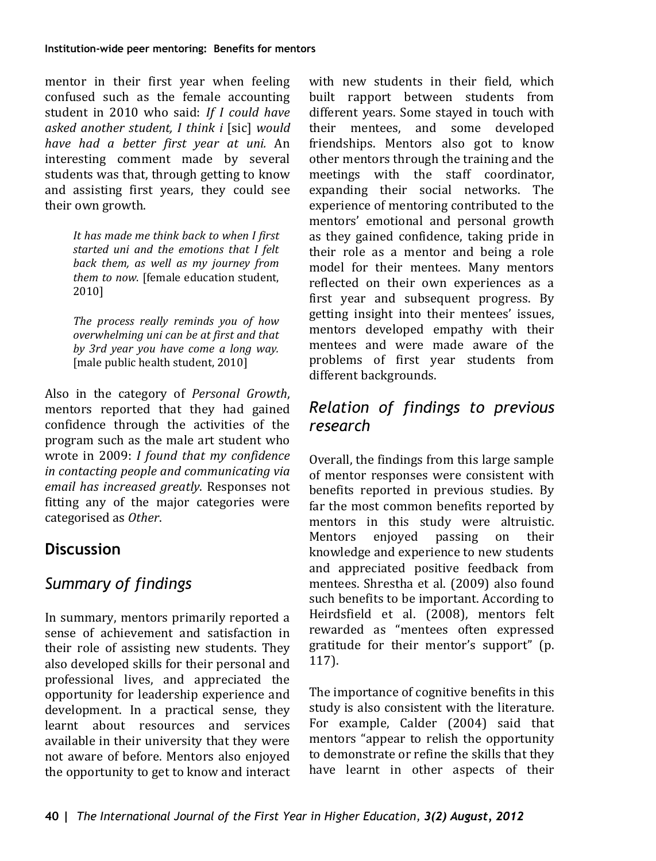mentor in their first year when feeling confused such as the female accounting student in 2010 who said: *If I could have asked another student, I think i* [sic] *would have had a better first year at uni.* An interesting comment made by several students was that, through getting to know and assisting first years, they could see their own growth.

> *It has made me think back to when I first started uni and the emotions that I felt back them, as well as my journey from them to now.* [female education student, 2010]

> *The process really reminds you of how overwhelming uni can be at first and that by 3rd year you have come a long way.* [male public health student, 2010]

Also in the category of *Personal Growth*, mentors reported that they had gained confidence through the activities of the program such as the male art student who wrote in 2009: *I found that my confidence in contacting people and communicating via email has increased greatly*. Responses not fitting any of the major categories were categorised as *Other*.

## **Discussion**

## *Summary of findings*

In summary, mentors primarily reported a sense of achievement and satisfaction in their role of assisting new students. They also developed skills for their personal and professional lives, and appreciated the opportunity for leadership experience and development. In a practical sense, they learnt about resources and services available in their university that they were not aware of before. Mentors also enjoyed the opportunity to get to know and interact

with new students in their field, which built rapport between students from different years. Some stayed in touch with their mentees, and some developed friendships. Mentors also got to know other mentors through the training and the meetings with the staff coordinator, expanding their social networks. The experience of mentoring contributed to the mentors' emotional and personal growth as they gained confidence, taking pride in their role as a mentor and being a role model for their mentees. Many mentors reflected on their own experiences as a first year and subsequent progress. By getting insight into their mentees' issues, mentors developed empathy with their mentees and were made aware of the problems of first year students from different backgrounds.

### *Relation of findings to previous research*

Overall, the findings from this large sample of mentor responses were consistent with benefits reported in previous studies. By far the most common benefits reported by mentors in this study were altruistic.<br>Mentors enjoyed passing on their passing on knowledge and experience to new students and appreciated positive feedback from mentees. Shrestha et al. (2009) also found such benefits to be important. According to Heirdsfield et al. (2008), mentors felt rewarded as "mentees often expressed gratitude for their mentor's support" (p. 117).

The importance of cognitive benefits in this study is also consistent with the literature. For example, Calder (2004) said that mentors "appear to relish the opportunity to demonstrate or refine the skills that they have learnt in other aspects of their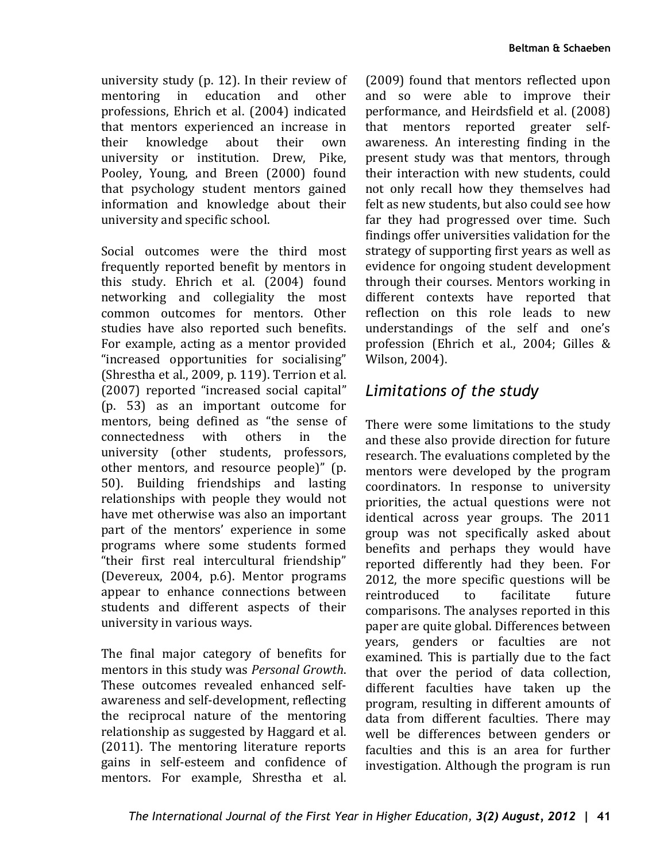university study (p. 12). In their review of<br>mentoring in education and other mentoring in professions, Ehrich et al. (2004) indicated that mentors experienced an increase in<br>their knowledge about their own their knowledge university or institution. Drew, Pike, Pooley, Young, and Breen (2000) found that psychology student mentors gained information and knowledge about their university and specific school.

Social outcomes were the third most frequently reported benefit by mentors in this study. Ehrich et al. (2004) found networking and collegiality the most common outcomes for mentors. Other studies have also reported such benefits. For example, acting as a mentor provided "increased opportunities for socialising" (Shrestha et al., 2009, p. 119). Terrion et al. (2007) reported "increased social capital" (p. 53) as an important outcome for mentors, being defined as "the sense of<br>connectedness with others in the connectedness university (other students, professors, other mentors, and resource people)" (p. 50). Building friendships and lasting relationships with people they would not have met otherwise was also an important part of the mentors' experience in some programs where some students formed "their first real intercultural friendship" (Devereux, 2004, p.6). Mentor programs appear to enhance connections between students and different aspects of their university in various ways.

The final major category of benefits for mentors in this study was *Personal Growth*. These outcomes revealed enhanced selfawareness and self-development, reflecting the reciprocal nature of the mentoring relationship as suggested by Haggard et al. (2011). The mentoring literature reports gains in self-esteem and confidence of mentors. For example, Shrestha et al.

(2009) found that mentors reflected upon and so were able to improve their performance, and Heirdsfield et al. (2008) that mentors reported greater selfawareness. An interesting finding in the present study was that mentors, through their interaction with new students, could not only recall how they themselves had felt as new students, but also could see how far they had progressed over time. Such findings offer universities validation for the strategy of supporting first years as well as evidence for ongoing student development through their courses. Mentors working in different contexts have reported that reflection on this role leads to new understandings of the self and one's profession (Ehrich et al., 2004; Gilles & Wilson, 2004).

### *Limitations of the study*

There were some limitations to the study and these also provide direction for future research. The evaluations completed by the mentors were developed by the program coordinators. In response to university priorities, the actual questions were not identical across year groups. The 2011 group was not specifically asked about benefits and perhaps they would have reported differently had they been. For 2012, the more specific questions will be reintroduced to facilitate future reintroduced comparisons. The analyses reported in this paper are quite global. Differences between years, genders or faculties are not examined. This is partially due to the fact that over the period of data collection, different faculties have taken up the program, resulting in different amounts of data from different faculties. There may well be differences between genders or faculties and this is an area for further investigation. Although the program is run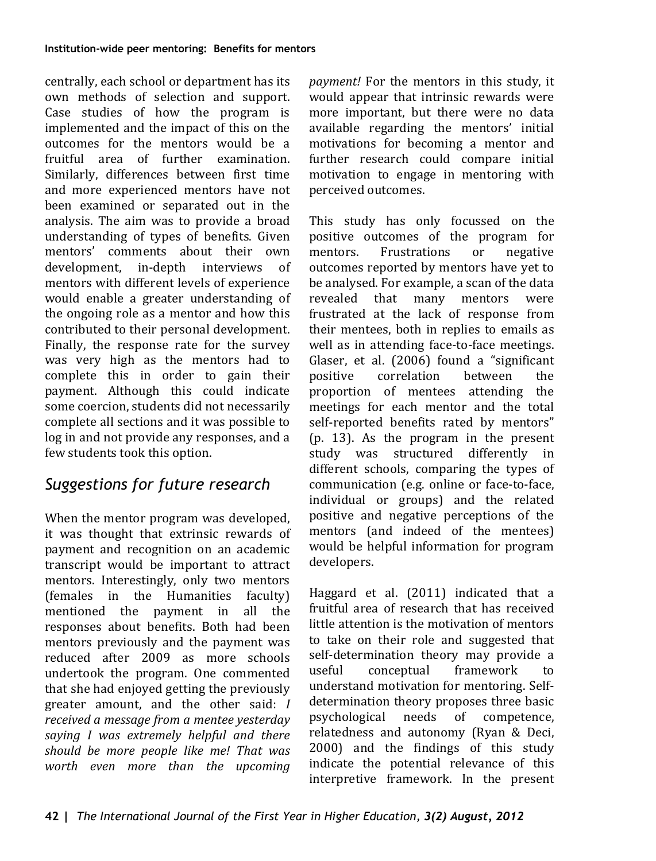centrally, each school or department has its own methods of selection and support. Case studies of how the program is implemented and the impact of this on the outcomes for the mentors would be a fruitful area of further examination. Similarly, differences between first time and more experienced mentors have not been examined or separated out in the analysis. The aim was to provide a broad understanding of types of benefits. Given mentors' comments about their own<br>development, in-depth interviews of development, in-depth mentors with different levels of experience would enable a greater understanding of the ongoing role as a mentor and how this contributed to their personal development. Finally, the response rate for the survey was very high as the mentors had to complete this in order to gain their payment. Although this could indicate some coercion, students did not necessarily complete all sections and it was possible to log in and not provide any responses, and a few students took this option.

## *Suggestions for future research*

When the mentor program was developed, it was thought that extrinsic rewards of payment and recognition on an academic transcript would be important to attract mentors. Interestingly, only two mentors (females in the Humanities faculty)<br>mentioned the payment in all the mentioned the payment in responses about benefits. Both had been mentors previously and the payment was reduced after 2009 as more schools undertook the program. One commented that she had enjoyed getting the previously greater amount, and the other said: *I received a message from a mentee yesterday saying I was extremely helpful and there should be more people like me! That was worth even more than the upcoming* 

*payment!* For the mentors in this study, it would appear that intrinsic rewards were more important, but there were no data available regarding the mentors' initial motivations for becoming a mentor and further research could compare initial motivation to engage in mentoring with perceived outcomes.

This study has only focussed on the positive outcomes of the program for<br>mentors. Frustrations or negative Frustrations. outcomes reported by mentors have yet to be analysed. For example, a scan of the data<br>revealed that many mentors were that many frustrated at the lack of response from their mentees, both in replies to emails as well as in attending face-to-face meetings. Glaser, et al. (2006) found a "significant<br>positive correlation between the correlation proportion of mentees attending the meetings for each mentor and the total self-reported benefits rated by mentors" (p. 13). As the program in the present study was structured differently in different schools, comparing the types of communication (e.g. online or face-to-face, individual or groups) and the related positive and negative perceptions of the mentors (and indeed of the mentees) would be helpful information for program developers.

Haggard et al. (2011) indicated that a fruitful area of research that has received little attention is the motivation of mentors to take on their role and suggested that self-determination theory may provide a<br>useful conceptual framework to framework understand motivation for mentoring. Selfdetermination theory proposes three basic<br>psychological needs of competence. psychological relatedness and autonomy (Ryan & Deci, 2000) and the findings of this study indicate the potential relevance of this interpretive framework. In the present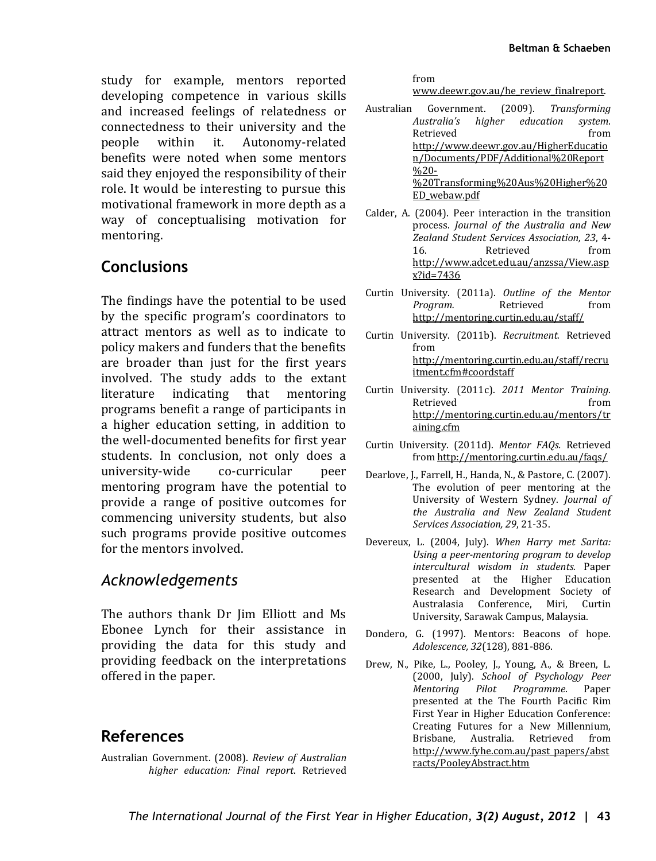study for example, mentors reported developing competence in various skills and increased feelings of relatedness or connectedness to their university and the<br>people within it. Autonomy-related Autonomy-related benefits were noted when some mentors said they enjoyed the responsibility of their role. It would be interesting to pursue this motivational framework in more depth as a way of conceptualising motivation for mentoring.

### **Conclusions**

The findings have the potential to be used by the specific program's coordinators to attract mentors as well as to indicate to policy makers and funders that the benefits are broader than just for the first years involved. The study adds to the extant<br>literature indicating that mentoring that mentoring programs benefit a range of participants in a higher education setting, in addition to the well-documented benefits for first year students. In conclusion, not only does a<br>university-wide co-curricular peer university-wide mentoring program have the potential to provide a range of positive outcomes for commencing university students, but also such programs provide positive outcomes for the mentors involved.

### *Acknowledgements*

The authors thank Dr Jim Elliott and Ms Ebonee Lynch for their assistance in providing the data for this study and providing feedback on the interpretations offered in the paper.

### **References**

Australian Government. (2008). *Review of Australian higher education: Final report*. Retrieved

from

[www.deewr.gov.au/he\\_review\\_finalreport.](http://www.deewr.gov.au/he_review_finalreport)

Australian Government. (2009). *Transforming Australia's higher education system*. Retrieved from [http://www.deewr.gov.au/HigherEducatio](http://www.deewr.gov.au/HigherEducation/Documents/PDF/Additional%20Report%20-%20Transforming%20Aus%20Higher%20ED_webaw.pdf) [n/Documents/PDF/Additional%20Report](http://www.deewr.gov.au/HigherEducation/Documents/PDF/Additional%20Report%20-%20Transforming%20Aus%20Higher%20ED_webaw.pdf)  $\frac{0}{20}$ -[%20Transforming%20Aus%20Higher%20](http://www.deewr.gov.au/HigherEducation/Documents/PDF/Additional%20Report%20-%20Transforming%20Aus%20Higher%20ED_webaw.pdf) [ED\\_webaw.pdf](http://www.deewr.gov.au/HigherEducation/Documents/PDF/Additional%20Report%20-%20Transforming%20Aus%20Higher%20ED_webaw.pdf)

Calder, A. (2004). Peer interaction in the transition process. *Journal of the Australia and New Zealand Student Services Association, 23*, 4- 16. Retrieved from [http://www.adcet.edu.au/anzssa/View.asp](http://www.adcet.edu.au/anzssa/View.aspx?id=7436) [x?id=7436](http://www.adcet.edu.au/anzssa/View.aspx?id=7436)

Curtin University. (2011a). *Outline of the Mentor*  Program. Retrieved from <http://mentoring.curtin.edu.au/staff/>

Curtin University. (2011b). *Recruitment.* Retrieved from [http://mentoring.curtin.edu.au/staff/recru](http://mentoring.curtin.edu.au/staff/recruitment.cfm#coordstaff) [itment.cfm#coordstaff](http://mentoring.curtin.edu.au/staff/recruitment.cfm#coordstaff)

Curtin University. (2011c). *2011 Mentor Training.* Retrieved from [http://mentoring.curtin.edu.au/mentors/tr](http://mentoring.curtin.edu.au/mentors/training.cfm) [aining.cfm](http://mentoring.curtin.edu.au/mentors/training.cfm)

Curtin University. (2011d). *Mentor FAQs.* Retrieved fro[m http://mentoring.curtin.edu.au/faqs/](http://mentoring.curtin.edu.au/faqs/)

Dearlove, J., Farrell, H., Handa, N., & Pastore, C. (2007). The evolution of peer mentoring at the University of Western Sydney. *Journal of the Australia and New Zealand Student Services Association, 29*, 21-35.

Devereux, L. (2004, July). *When Harry met Sarita: Using a peer-mentoring program to develop intercultural wisdom in students.* Paper presented at the Higher Education Research and Development Society of Australasia Conference, Miri, Curtin University, Sarawak Campus, Malaysia.

Dondero, G. (1997). Mentors: Beacons of hope. *Adolescence, 32*(128), 881-886.

Drew, N., Pike, L., Pooley, J., Young, A., & Breen, L. (2000, July). *School of Psychology Peer Pilot Programme.* presented at the The Fourth Pacific Rim First Year in Higher Education Conference: Creating Futures for a New Millennium, Brisbane. Australia. Retrieved [http://www.fyhe.com.au/past\\_papers/abst](http://www.fyhe.com.au/past_papers/abstracts/PooleyAbstract.htm) [racts/PooleyAbstract.htm](http://www.fyhe.com.au/past_papers/abstracts/PooleyAbstract.htm)